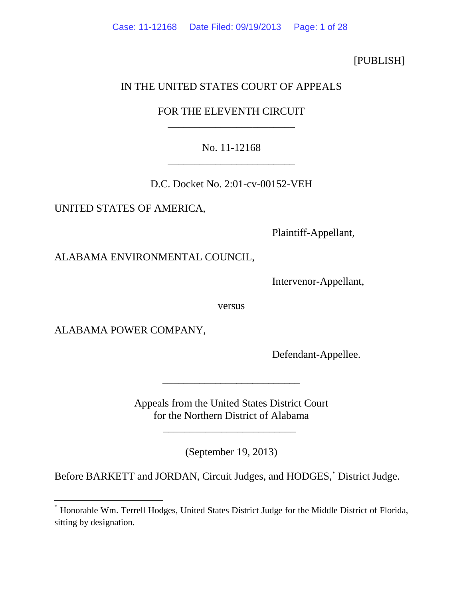## [PUBLISH]

# IN THE UNITED STATES COURT OF APPEALS

# FOR THE ELEVENTH CIRCUIT \_\_\_\_\_\_\_\_\_\_\_\_\_\_\_\_\_\_\_\_\_\_\_\_

# No. 11-12168 \_\_\_\_\_\_\_\_\_\_\_\_\_\_\_\_\_\_\_\_\_\_\_\_

D.C. Docket No. 2:01-cv-00152-VEH

UNITED STATES OF AMERICA,

Plaintiff-Appellant,

ALABAMA ENVIRONMENTAL COUNCIL,

Intervenor-Appellant,

versus

ALABAMA POWER COMPANY,

Defendant-Appellee.

Appeals from the United States District Court for the Northern District of Alabama

\_\_\_\_\_\_\_\_\_\_\_\_\_\_\_\_\_\_\_\_\_\_\_\_\_\_

(September 19, 2013)

\_\_\_\_\_\_\_\_\_\_\_\_\_\_\_\_\_\_\_\_\_\_\_\_\_

Before BARKETT and JORDAN, Circuit Judges, and HODGES,[\\*](#page-0-0) District Judge.

<span id="page-0-0"></span>\* Honorable Wm. Terrell Hodges, United States District Judge for the Middle District of Florida, sitting by designation.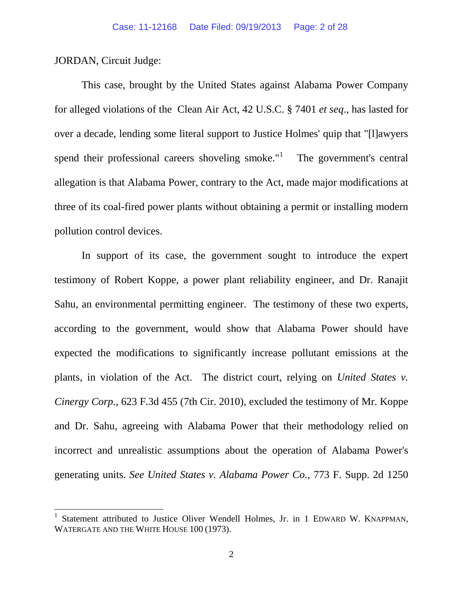JORDAN, Circuit Judge:

This case, brought by the United States against Alabama Power Company for alleged violations of the Clean Air Act, 42 U.S.C. § 7401 *et seq*., has lasted for over a decade, lending some literal support to Justice Holmes' quip that "[l]awyers spend their professional careers shoveling smoke." The government's central allegation is that Alabama Power, contrary to the Act, made major modifications at three of its coal-fired power plants without obtaining a permit or installing modern pollution control devices.

In support of its case, the government sought to introduce the expert testimony of Robert Koppe, a power plant reliability engineer, and Dr. Ranajit Sahu, an environmental permitting engineer. The testimony of these two experts, according to the government, would show that Alabama Power should have expected the modifications to significantly increase pollutant emissions at the plants, in violation of the Act. The district court, relying on *United States v. Cinergy Corp.*, 623 F.3d 455 (7th Cir. 2010), excluded the testimony of Mr. Koppe and Dr. Sahu, agreeing with Alabama Power that their methodology relied on incorrect and unrealistic assumptions about the operation of Alabama Power's generating units. *See United States v. Alabama Power Co.,* 773 F. Supp. 2d 1250

<span id="page-1-0"></span><sup>1</sup> Statement attributed to Justice Oliver Wendell Holmes, Jr. in 1 EDWARD W. KNAPPMAN*,* WATERGATE AND THE WHITE HOUSE 100 (1973).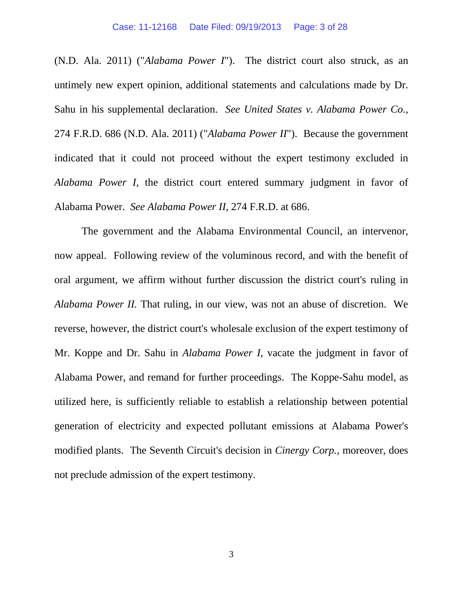(N.D. Ala. 2011) ("*Alabama Power I*").The district court also struck, as an untimely new expert opinion, additional statements and calculations made by Dr. Sahu in his supplemental declaration. *See United States v. Alabama Power Co.,*  274 F.R.D. 686 (N.D. Ala. 2011) ("*Alabama Power II*").Because the government indicated that it could not proceed without the expert testimony excluded in *Alabama Power I*, the district court entered summary judgment in favor of Alabama Power. *See Alabama Power II*, 274 F.R.D. at 686.

The government and the Alabama Environmental Council, an intervenor, now appeal. Following review of the voluminous record, and with the benefit of oral argument, we affirm without further discussion the district court's ruling in *Alabama Power II.* That ruling, in our view, was not an abuse of discretion. We reverse, however, the district court's wholesale exclusion of the expert testimony of Mr. Koppe and Dr. Sahu in *Alabama Power I*, vacate the judgment in favor of Alabama Power, and remand for further proceedings. The Koppe-Sahu model, as utilized here, is sufficiently reliable to establish a relationship between potential generation of electricity and expected pollutant emissions at Alabama Power's modified plants. The Seventh Circuit's decision in *Cinergy Corp.,* moreover, does not preclude admission of the expert testimony.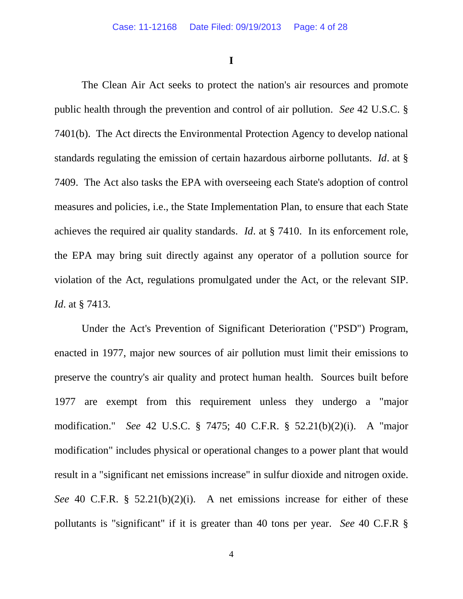**I**

The Clean Air Act seeks to protect the nation's air resources and promote public health through the prevention and control of air pollution. *See* 42 U.S.C. § 7401(b). The Act directs the Environmental Protection Agency to develop national standards regulating the emission of certain hazardous airborne pollutants. *Id*. at § 7409. The Act also tasks the EPA with overseeing each State's adoption of control measures and policies, i.e., the State Implementation Plan, to ensure that each State achieves the required air quality standards. *Id*. at § 7410. In its enforcement role, the EPA may bring suit directly against any operator of a pollution source for violation of the Act, regulations promulgated under the Act, or the relevant SIP. *Id*. at § 7413.

Under the Act's Prevention of Significant Deterioration ("PSD") Program, enacted in 1977, major new sources of air pollution must limit their emissions to preserve the country's air quality and protect human health. Sources built before 1977 are exempt from this requirement unless they undergo a "major modification." *See* 42 U.S.C. § 7475; 40 C.F.R. § 52.21(b)(2)(i). A "major modification" includes physical or operational changes to a power plant that would result in a "significant net emissions increase" in sulfur dioxide and nitrogen oxide. *See* 40 C.F.R. § 52.21(b)(2)(i). A net emissions increase for either of these pollutants is "significant" if it is greater than 40 tons per year. *See* 40 C.F.R §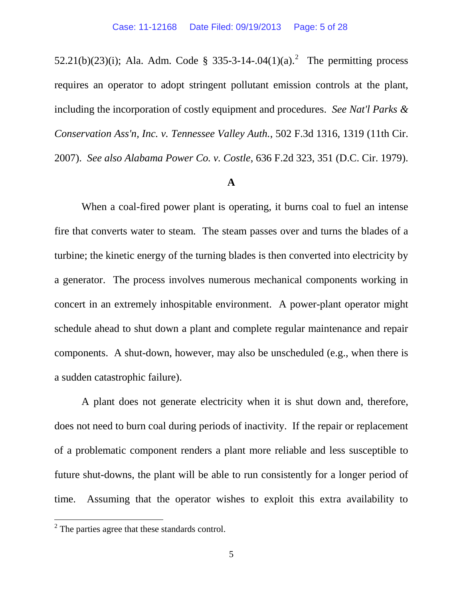5[2](#page-4-0).21(b)(23)(i); Ala. Adm. Code § 335-3-14-.04(1)(a).<sup>2</sup> The permitting process requires an operator to adopt stringent pollutant emission controls at the plant, including the incorporation of costly equipment and procedures. *See Nat'l Parks & Conservation Ass'n, Inc. v. Tennessee Valley Auth.*, 502 F.3d 1316, 1319 (11th Cir. 2007). *See also Alabama Power Co. v. Costle*, 636 F.2d 323, 351 (D.C. Cir. 1979).

### **A**

When a coal-fired power plant is operating, it burns coal to fuel an intense fire that converts water to steam. The steam passes over and turns the blades of a turbine; the kinetic energy of the turning blades is then converted into electricity by a generator. The process involves numerous mechanical components working in concert in an extremely inhospitable environment. A power-plant operator might schedule ahead to shut down a plant and complete regular maintenance and repair components. A shut-down, however, may also be unscheduled (e.g., when there is a sudden catastrophic failure).

A plant does not generate electricity when it is shut down and, therefore, does not need to burn coal during periods of inactivity. If the repair or replacement of a problematic component renders a plant more reliable and less susceptible to future shut-downs, the plant will be able to run consistently for a longer period of time. Assuming that the operator wishes to exploit this extra availability to

<span id="page-4-0"></span> $<sup>2</sup>$  The parties agree that these standards control.</sup>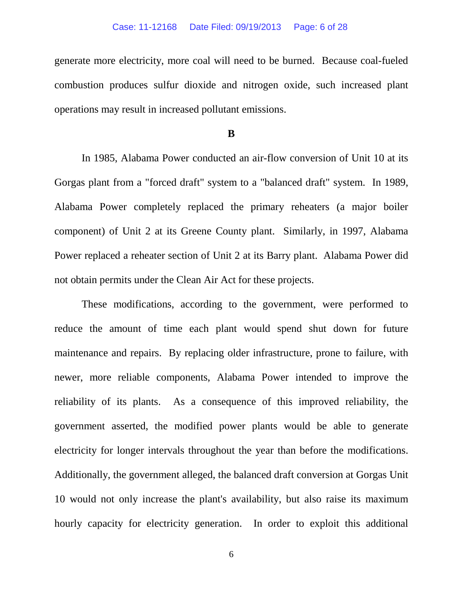generate more electricity, more coal will need to be burned. Because coal-fueled combustion produces sulfur dioxide and nitrogen oxide, such increased plant operations may result in increased pollutant emissions.

### **B**

In 1985, Alabama Power conducted an air-flow conversion of Unit 10 at its Gorgas plant from a "forced draft" system to a "balanced draft" system. In 1989, Alabama Power completely replaced the primary reheaters (a major boiler component) of Unit 2 at its Greene County plant. Similarly, in 1997, Alabama Power replaced a reheater section of Unit 2 at its Barry plant. Alabama Power did not obtain permits under the Clean Air Act for these projects.

These modifications, according to the government, were performed to reduce the amount of time each plant would spend shut down for future maintenance and repairs. By replacing older infrastructure, prone to failure, with newer, more reliable components, Alabama Power intended to improve the reliability of its plants. As a consequence of this improved reliability, the government asserted, the modified power plants would be able to generate electricity for longer intervals throughout the year than before the modifications. Additionally, the government alleged, the balanced draft conversion at Gorgas Unit 10 would not only increase the plant's availability, but also raise its maximum hourly capacity for electricity generation. In order to exploit this additional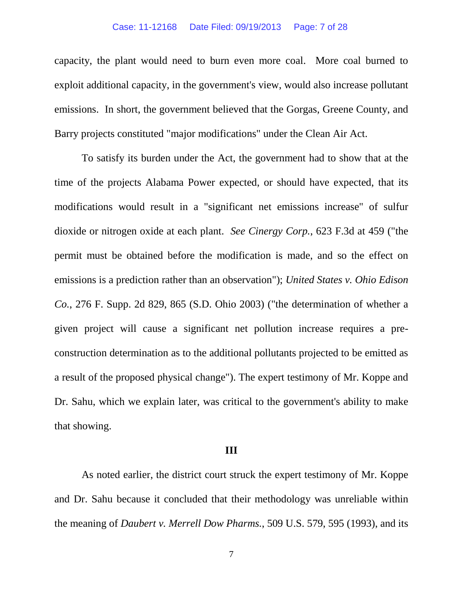#### Case: 11-12168 Date Filed: 09/19/2013 Page: 7 of 28

capacity, the plant would need to burn even more coal. More coal burned to exploit additional capacity, in the government's view, would also increase pollutant emissions. In short, the government believed that the Gorgas, Greene County, and Barry projects constituted "major modifications" under the Clean Air Act.

To satisfy its burden under the Act, the government had to show that at the time of the projects Alabama Power expected, or should have expected, that its modifications would result in a "significant net emissions increase" of sulfur dioxide or nitrogen oxide at each plant. *See Cinergy Corp.*, 623 F.3d at 459 ("the permit must be obtained before the modification is made, and so the effect on emissions is a prediction rather than an observation"); *United States v. Ohio Edison Co.*, 276 F. Supp. 2d 829, 865 (S.D. Ohio 2003) ("the determination of whether a given project will cause a significant net pollution increase requires a preconstruction determination as to the additional pollutants projected to be emitted as a result of the proposed physical change"). The expert testimony of Mr. Koppe and Dr. Sahu, which we explain later, was critical to the government's ability to make that showing.

## **III**

As noted earlier, the district court struck the expert testimony of Mr. Koppe and Dr. Sahu because it concluded that their methodology was unreliable within the meaning of *Daubert v. Merrell Dow Pharms.*, 509 U.S. 579, 595 (1993), and its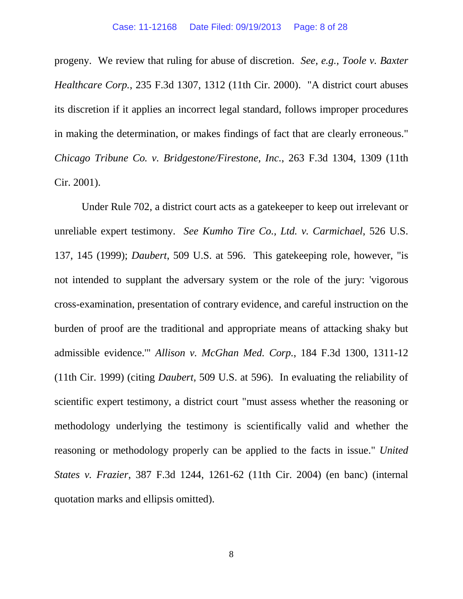progeny. We review that ruling for abuse of discretion. *See, e.g., Toole v. Baxter Healthcare Corp.*, 235 F.3d 1307, 1312 (11th Cir. 2000). "A district court abuses its discretion if it applies an incorrect legal standard, follows improper procedures in making the determination, or makes findings of fact that are clearly erroneous." *Chicago Tribune Co. v. Bridgestone/Firestone, Inc.*, 263 F.3d 1304, 1309 (11th Cir. 2001).

Under Rule 702, a district court acts as a gatekeeper to keep out irrelevant or unreliable expert testimony. *See Kumho Tire Co., Ltd. v. Carmichael*, 526 U.S. 137, 145 (1999); *Daubert*, 509 U.S. at 596. This gatekeeping role, however, "is not intended to supplant the adversary system or the role of the jury: 'vigorous cross-examination, presentation of contrary evidence, and careful instruction on the burden of proof are the traditional and appropriate means of attacking shaky but admissible evidence.'" *Allison v. McGhan Med. Corp.*, 184 F.3d 1300, 1311-12 (11th Cir. 1999) (citing *Daubert*, 509 U.S. at 596). In evaluating the reliability of scientific expert testimony, a district court "must assess whether the reasoning or methodology underlying the testimony is scientifically valid and whether the reasoning or methodology properly can be applied to the facts in issue." *United States v. Frazier*, 387 F.3d 1244, 1261-62 (11th Cir. 2004) (en banc) (internal quotation marks and ellipsis omitted).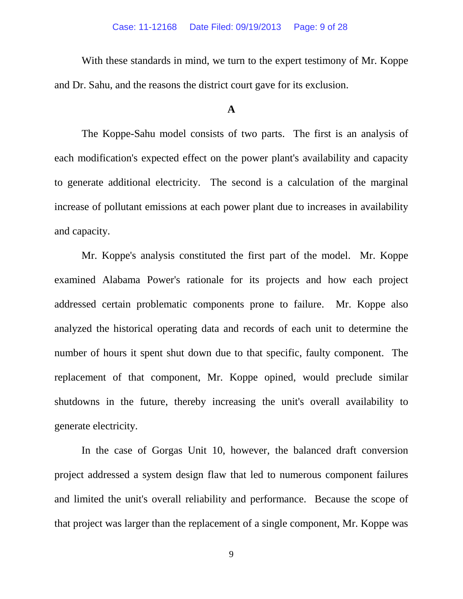With these standards in mind, we turn to the expert testimony of Mr. Koppe and Dr. Sahu, and the reasons the district court gave for its exclusion.

## **A**

The Koppe-Sahu model consists of two parts. The first is an analysis of each modification's expected effect on the power plant's availability and capacity to generate additional electricity. The second is a calculation of the marginal increase of pollutant emissions at each power plant due to increases in availability and capacity.

Mr. Koppe's analysis constituted the first part of the model. Mr. Koppe examined Alabama Power's rationale for its projects and how each project addressed certain problematic components prone to failure. Mr. Koppe also analyzed the historical operating data and records of each unit to determine the number of hours it spent shut down due to that specific, faulty component. The replacement of that component, Mr. Koppe opined, would preclude similar shutdowns in the future, thereby increasing the unit's overall availability to generate electricity.

In the case of Gorgas Unit 10, however, the balanced draft conversion project addressed a system design flaw that led to numerous component failures and limited the unit's overall reliability and performance. Because the scope of that project was larger than the replacement of a single component, Mr. Koppe was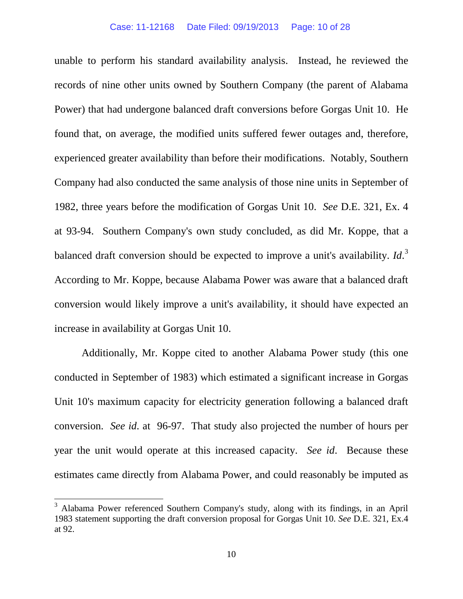#### Case: 11-12168 Date Filed: 09/19/2013 Page: 10 of 28

unable to perform his standard availability analysis. Instead, he reviewed the records of nine other units owned by Southern Company (the parent of Alabama Power) that had undergone balanced draft conversions before Gorgas Unit 10. He found that, on average, the modified units suffered fewer outages and, therefore, experienced greater availability than before their modifications. Notably, Southern Company had also conducted the same analysis of those nine units in September of 1982, three years before the modification of Gorgas Unit 10. *See* D.E. 321, Ex. 4 at 93-94. Southern Company's own study concluded, as did Mr. Koppe, that a balanced draft conversion should be expected to improve a unit's availability. *Id*. [3](#page-9-0) According to Mr. Koppe, because Alabama Power was aware that a balanced draft conversion would likely improve a unit's availability, it should have expected an increase in availability at Gorgas Unit 10.

Additionally, Mr. Koppe cited to another Alabama Power study (this one conducted in September of 1983) which estimated a significant increase in Gorgas Unit 10's maximum capacity for electricity generation following a balanced draft conversion. *See id*. at 96-97. That study also projected the number of hours per year the unit would operate at this increased capacity. *See id*. Because these estimates came directly from Alabama Power, and could reasonably be imputed as

<span id="page-9-0"></span> $3$  Alabama Power referenced Southern Company's study, along with its findings, in an April 1983 statement supporting the draft conversion proposal for Gorgas Unit 10. *See* D.E. 321, Ex.4 at 92.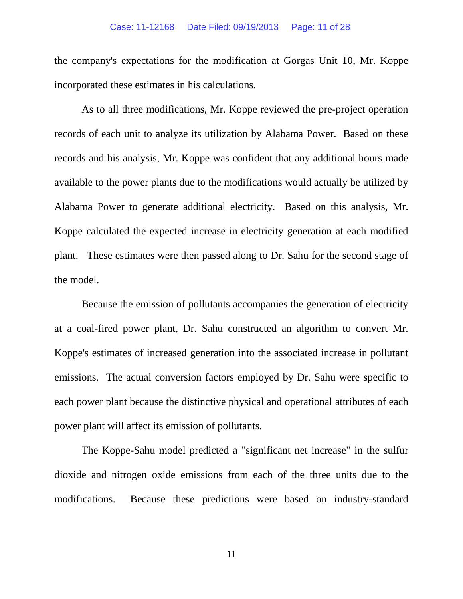### Case: 11-12168 Date Filed: 09/19/2013 Page: 11 of 28

the company's expectations for the modification at Gorgas Unit 10, Mr. Koppe incorporated these estimates in his calculations.

As to all three modifications, Mr. Koppe reviewed the pre-project operation records of each unit to analyze its utilization by Alabama Power. Based on these records and his analysis, Mr. Koppe was confident that any additional hours made available to the power plants due to the modifications would actually be utilized by Alabama Power to generate additional electricity. Based on this analysis, Mr. Koppe calculated the expected increase in electricity generation at each modified plant. These estimates were then passed along to Dr. Sahu for the second stage of the model.

Because the emission of pollutants accompanies the generation of electricity at a coal-fired power plant, Dr. Sahu constructed an algorithm to convert Mr. Koppe's estimates of increased generation into the associated increase in pollutant emissions. The actual conversion factors employed by Dr. Sahu were specific to each power plant because the distinctive physical and operational attributes of each power plant will affect its emission of pollutants.

The Koppe-Sahu model predicted a "significant net increase" in the sulfur dioxide and nitrogen oxide emissions from each of the three units due to the modifications. Because these predictions were based on industry-standard

11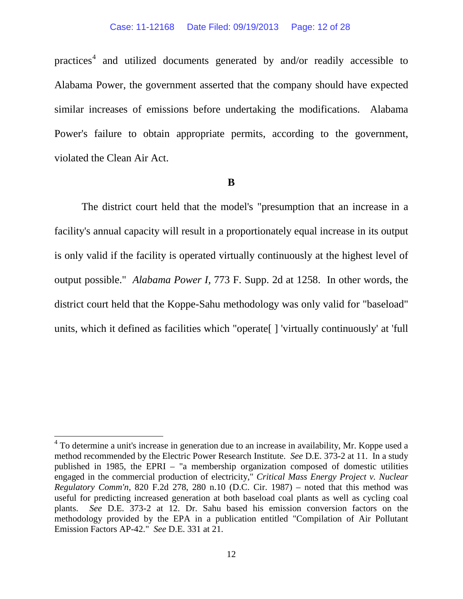### Case: 11-12168 Date Filed: 09/19/2013 Page: 12 of 28

practices<sup>[4](#page-11-0)</sup> and utilized documents generated by and/or readily accessible to Alabama Power, the government asserted that the company should have expected similar increases of emissions before undertaking the modifications. Alabama Power's failure to obtain appropriate permits, according to the government, violated the Clean Air Act.

### **B**

The district court held that the model's "presumption that an increase in a facility's annual capacity will result in a proportionately equal increase in its output is only valid if the facility is operated virtually continuously at the highest level of output possible." *Alabama Power I,* 773 F. Supp. 2d at 1258. In other words, the district court held that the Koppe-Sahu methodology was only valid for "baseload" units, which it defined as facilities which "operate[ ] 'virtually continuously' at 'full

<span id="page-11-0"></span><sup>&</sup>lt;sup>4</sup> To determine a unit's increase in generation due to an increase in availability, Mr. Koppe used a method recommended by the Electric Power Research Institute. *See* D.E. 373-2 at 11. In a study published in 1985, the EPRI – "a membership organization composed of domestic utilities engaged in the commercial production of electricity," *Critical Mass Energy Project v. Nuclear Regulatory Comm'n,* 820 F.2d 278, 280 n.10 (D.C. Cir. 1987) – noted that this method was useful for predicting increased generation at both baseload coal plants as well as cycling coal plants. *See* D.E. 373-2 at 12. Dr. Sahu based his emission conversion factors on the methodology provided by the EPA in a publication entitled "Compilation of Air Pollutant Emission Factors AP-42." *See* D.E. 331 at 21.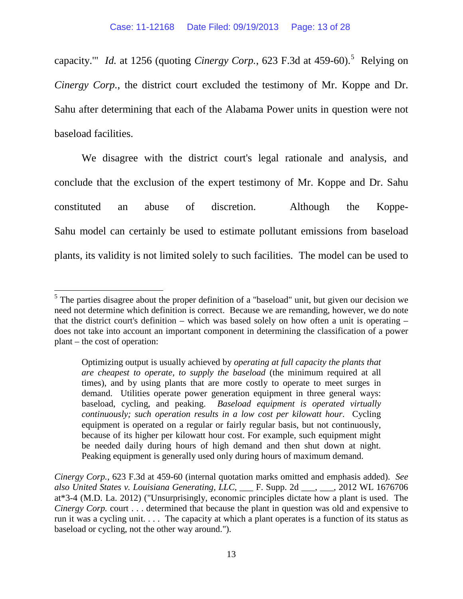capacity.'" *Id.* at 1256 (quoting *Cinergy Corp.*, 623 F.3d at 459-60). [5](#page-12-0) Relying on *Cinergy Corp.*, the district court excluded the testimony of Mr. Koppe and Dr. Sahu after determining that each of the Alabama Power units in question were not baseload facilities.

We disagree with the district court's legal rationale and analysis, and conclude that the exclusion of the expert testimony of Mr. Koppe and Dr. Sahu constituted an abuse of discretion. Although the Koppe-Sahu model can certainly be used to estimate pollutant emissions from baseload plants, its validity is not limited solely to such facilities. The model can be used to

<span id="page-12-0"></span><sup>&</sup>lt;sup>5</sup> The parties disagree about the proper definition of a "baseload" unit, but given our decision we need not determine which definition is correct. Because we are remanding, however, we do note that the district court's definition – which was based solely on how often a unit is operating – does not take into account an important component in determining the classification of a power plant – the cost of operation:

Optimizing output is usually achieved by *operating at full capacity the plants that are cheapest to operate, to supply the baseload* (the minimum required at all times), and by using plants that are more costly to operate to meet surges in demand. Utilities operate power generation equipment in three general ways: baseload, cycling, and peaking. *Baseload equipment is operated virtually continuously; such operation results in a low cost per kilowatt hour*. Cycling equipment is operated on a regular or fairly regular basis, but not continuously, because of its higher per kilowatt hour cost. For example, such equipment might be needed daily during hours of high demand and then shut down at night. Peaking equipment is generally used only during hours of maximum demand.

*Cinergy Corp.*, 623 F.3d at 459-60 (internal quotation marks omitted and emphasis added). *See also United States v. Louisiana Generating, LLC,* \_\_\_ F. Supp. 2d \_\_\_, \_\_\_, 2012 WL 1676706 at\*3-4 (M.D. La. 2012) ("Unsurprisingly, economic principles dictate how a plant is used. The *Cinergy Corp.* court . . . determined that because the plant in question was old and expensive to run it was a cycling unit. . . . The capacity at which a plant operates is a function of its status as baseload or cycling, not the other way around.").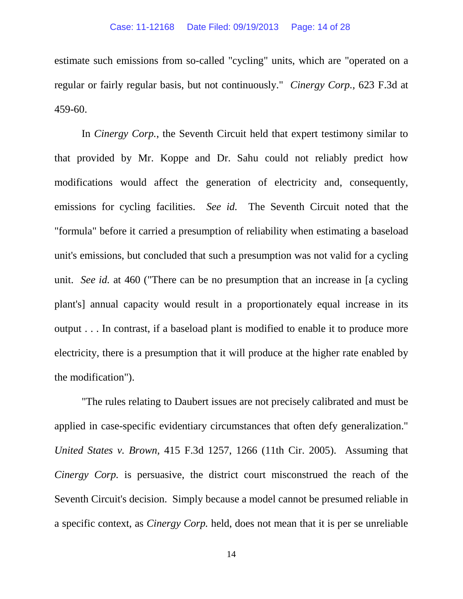estimate such emissions from so-called "cycling" units, which are "operated on a regular or fairly regular basis, but not continuously." *Cinergy Corp.,* 623 F.3d at 459-60.

In *Cinergy Corp.*, the Seventh Circuit held that expert testimony similar to that provided by Mr. Koppe and Dr. Sahu could not reliably predict how modifications would affect the generation of electricity and, consequently, emissions for cycling facilities. *See id.* The Seventh Circuit noted that the "formula" before it carried a presumption of reliability when estimating a baseload unit's emissions, but concluded that such a presumption was not valid for a cycling unit. *See id.* at 460 ("There can be no presumption that an increase in [a cycling plant's] annual capacity would result in a proportionately equal increase in its output . . . In contrast, if a baseload plant is modified to enable it to produce more electricity, there is a presumption that it will produce at the higher rate enabled by the modification").

"The rules relating to Daubert issues are not precisely calibrated and must be applied in case-specific evidentiary circumstances that often defy generalization." *United States v. Brown,* 415 F.3d 1257, 1266 (11th Cir. 2005). Assuming that *Cinergy Corp.* is persuasive, the district court misconstrued the reach of the Seventh Circuit's decision. Simply because a model cannot be presumed reliable in a specific context, as *Cinergy Corp.* held, does not mean that it is per se unreliable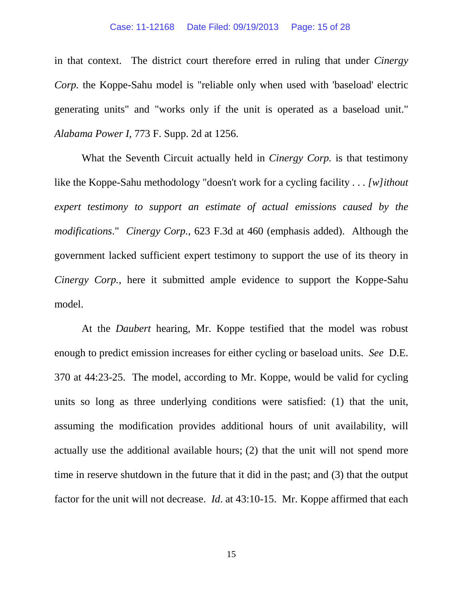in that context. The district court therefore erred in ruling that under *Cinergy Corp.* the Koppe-Sahu model is "reliable only when used with 'baseload' electric generating units" and "works only if the unit is operated as a baseload unit." *Alabama Power I,* 773 F. Supp. 2d at 1256.

What the Seventh Circuit actually held in *Cinergy Corp.* is that testimony like the Koppe-Sahu methodology "doesn't work for a cycling facility . . *. [w]ithout expert testimony to support an estimate of actual emissions caused by the modifications*." *Cinergy Corp.*, 623 F.3d at 460 (emphasis added). Although the government lacked sufficient expert testimony to support the use of its theory in *Cinergy Corp.*, here it submitted ample evidence to support the Koppe-Sahu model.

At the *Daubert* hearing, Mr. Koppe testified that the model was robust enough to predict emission increases for either cycling or baseload units. *See* D.E. 370 at 44:23-25. The model, according to Mr. Koppe, would be valid for cycling units so long as three underlying conditions were satisfied: (1) that the unit, assuming the modification provides additional hours of unit availability, will actually use the additional available hours; (2) that the unit will not spend more time in reserve shutdown in the future that it did in the past; and (3) that the output factor for the unit will not decrease. *Id*. at 43:10-15. Mr. Koppe affirmed that each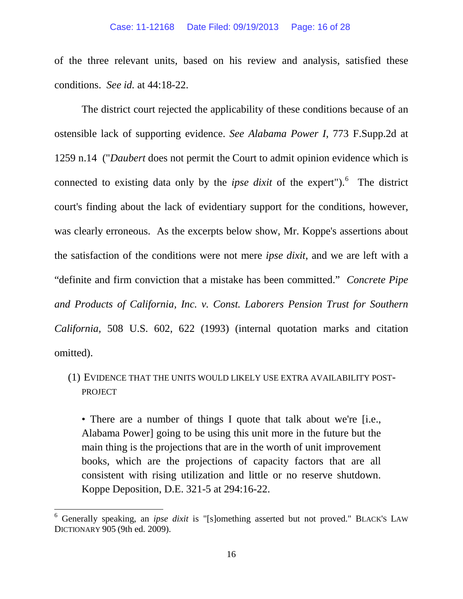of the three relevant units, based on his review and analysis, satisfied these conditions. *See id.* at 44:18-22.

The district court rejected the applicability of these conditions because of an ostensible lack of supporting evidence. *See Alabama Power I,* 773 F.Supp.2d at 1259 n.14 ("*Daubert* does not permit the Court to admit opinion evidence which is connected to existing data only by the *ipse dixit* of the expert").<sup>[6](#page-15-0)</sup> The district court's finding about the lack of evidentiary support for the conditions, however, was clearly erroneous. As the excerpts below show, Mr. Koppe's assertions about the satisfaction of the conditions were not mere *ipse dixit*, and we are left with a "definite and firm conviction that a mistake has been committed." *Concrete Pipe and Products of California, Inc. v. Const. Laborers Pension Trust for Southern California,* 508 U.S. 602, 622 (1993) (internal quotation marks and citation omitted).

(1) EVIDENCE THAT THE UNITS WOULD LIKELY USE EXTRA AVAILABILITY POST-PROJECT

• There are a number of things I quote that talk about we're [i.e., Alabama Power] going to be using this unit more in the future but the main thing is the projections that are in the worth of unit improvement books, which are the projections of capacity factors that are all consistent with rising utilization and little or no reserve shutdown. Koppe Deposition, D.E. 321-5 at 294:16-22.

<span id="page-15-0"></span><sup>6</sup> Generally speaking, an *ipse dixit* is "[s]omething asserted but not proved." BLACK'S LAW DICTIONARY 905 (9th ed. 2009).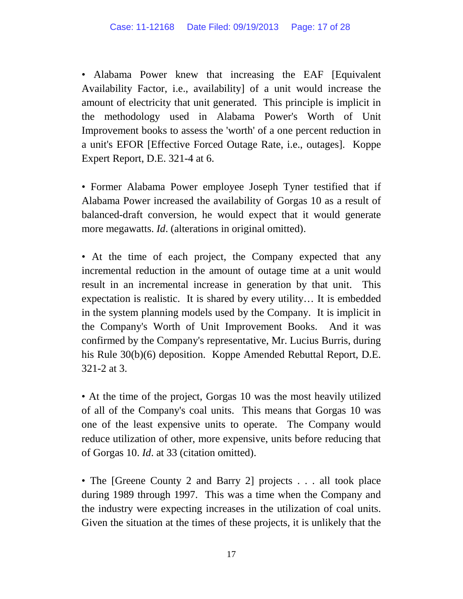• Alabama Power knew that increasing the EAF [Equivalent Availability Factor, i.e., availability] of a unit would increase the amount of electricity that unit generated. This principle is implicit in the methodology used in Alabama Power's Worth of Unit Improvement books to assess the 'worth' of a one percent reduction in a unit's EFOR [Effective Forced Outage Rate, i.e., outages]. Koppe Expert Report, D.E. 321-4 at 6.

• Former Alabama Power employee Joseph Tyner testified that if Alabama Power increased the availability of Gorgas 10 as a result of balanced-draft conversion, he would expect that it would generate more megawatts. *Id*. (alterations in original omitted).

• At the time of each project, the Company expected that any incremental reduction in the amount of outage time at a unit would result in an incremental increase in generation by that unit. This expectation is realistic. It is shared by every utility… It is embedded in the system planning models used by the Company. It is implicit in the Company's Worth of Unit Improvement Books. And it was confirmed by the Company's representative, Mr. Lucius Burris, during his Rule 30(b)(6) deposition. Koppe Amended Rebuttal Report, D.E. 321-2 at 3.

• At the time of the project, Gorgas 10 was the most heavily utilized of all of the Company's coal units. This means that Gorgas 10 was one of the least expensive units to operate. The Company would reduce utilization of other, more expensive, units before reducing that of Gorgas 10. *Id*. at 33 (citation omitted).

• The [Greene County 2 and Barry 2] projects . . . all took place during 1989 through 1997. This was a time when the Company and the industry were expecting increases in the utilization of coal units. Given the situation at the times of these projects, it is unlikely that the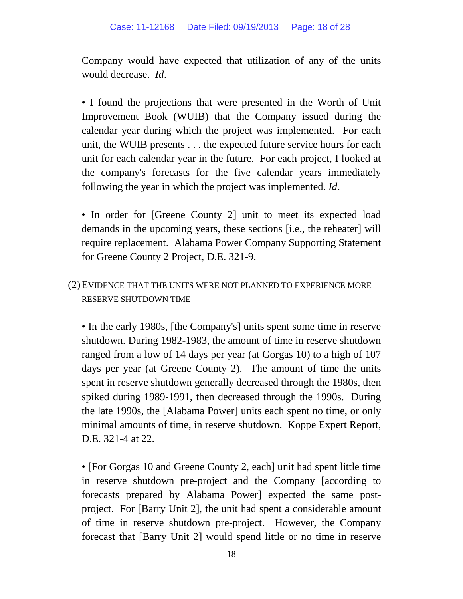Company would have expected that utilization of any of the units would decrease. *Id*.

• I found the projections that were presented in the Worth of Unit Improvement Book (WUIB) that the Company issued during the calendar year during which the project was implemented. For each unit, the WUIB presents . . . the expected future service hours for each unit for each calendar year in the future. For each project, I looked at the company's forecasts for the five calendar years immediately following the year in which the project was implemented. *Id*.

• In order for [Greene County 2] unit to meet its expected load demands in the upcoming years, these sections [i.e., the reheater] will require replacement. Alabama Power Company Supporting Statement for Greene County 2 Project, D.E. 321-9.

(2)EVIDENCE THAT THE UNITS WERE NOT PLANNED TO EXPERIENCE MORE RESERVE SHUTDOWN TIME

• In the early 1980s, [the Company's] units spent some time in reserve shutdown. During 1982-1983, the amount of time in reserve shutdown ranged from a low of 14 days per year (at Gorgas 10) to a high of 107 days per year (at Greene County 2). The amount of time the units spent in reserve shutdown generally decreased through the 1980s, then spiked during 1989-1991, then decreased through the 1990s. During the late 1990s, the [Alabama Power] units each spent no time, or only minimal amounts of time, in reserve shutdown. Koppe Expert Report, D.E. 321-4 at 22.

• [For Gorgas 10 and Greene County 2, each] unit had spent little time in reserve shutdown pre-project and the Company [according to forecasts prepared by Alabama Power] expected the same postproject. For [Barry Unit 2], the unit had spent a considerable amount of time in reserve shutdown pre-project. However, the Company forecast that [Barry Unit 2] would spend little or no time in reserve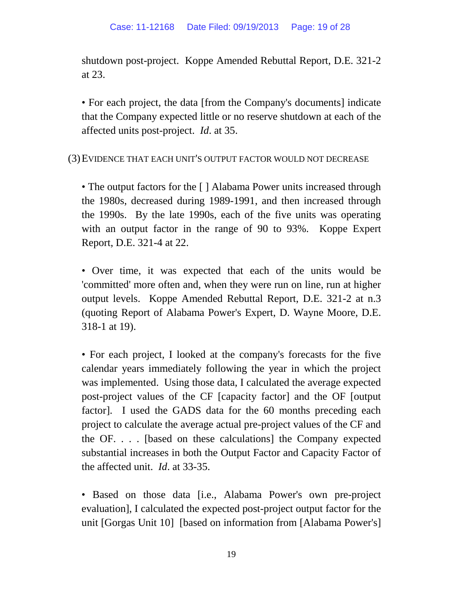shutdown post-project. Koppe Amended Rebuttal Report, D.E. 321-2 at 23.

• For each project, the data [from the Company's documents] indicate that the Company expected little or no reserve shutdown at each of the affected units post-project. *Id*. at 35.

(3)EVIDENCE THAT EACH UNIT'S OUTPUT FACTOR WOULD NOT DECREASE

• The output factors for the [ ] Alabama Power units increased through the 1980s, decreased during 1989-1991, and then increased through the 1990s. By the late 1990s, each of the five units was operating with an output factor in the range of 90 to 93%. Koppe Expert Report, D.E. 321-4 at 22.

• Over time, it was expected that each of the units would be 'committed' more often and, when they were run on line, run at higher output levels. Koppe Amended Rebuttal Report, D.E. 321-2 at n.3 (quoting Report of Alabama Power's Expert, D. Wayne Moore, D.E. 318-1 at 19).

• For each project, I looked at the company's forecasts for the five calendar years immediately following the year in which the project was implemented. Using those data, I calculated the average expected post-project values of the CF [capacity factor] and the OF [output factor]. I used the GADS data for the 60 months preceding each project to calculate the average actual pre-project values of the CF and the OF. . . . [based on these calculations] the Company expected substantial increases in both the Output Factor and Capacity Factor of the affected unit. *Id*. at 33-35.

• Based on those data [i.e., Alabama Power's own pre-project evaluation], I calculated the expected post-project output factor for the unit [Gorgas Unit 10] [based on information from [Alabama Power's]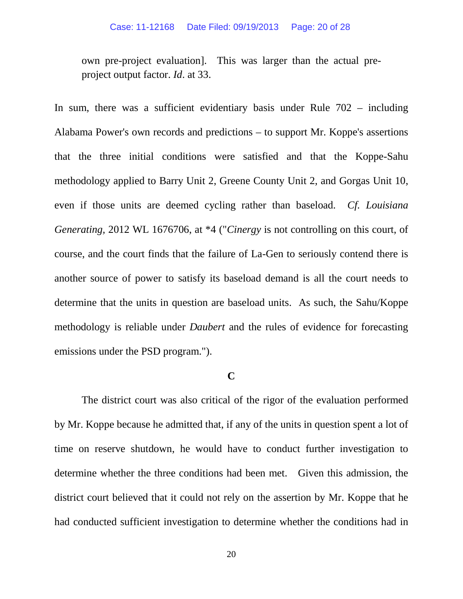own pre-project evaluation]. This was larger than the actual preproject output factor. *Id*. at 33.

In sum, there was a sufficient evidentiary basis under Rule 702 – including Alabama Power's own records and predictions – to support Mr. Koppe's assertions that the three initial conditions were satisfied and that the Koppe-Sahu methodology applied to Barry Unit 2, Greene County Unit 2, and Gorgas Unit 10, even if those units are deemed cycling rather than baseload. *Cf. Louisiana Generating,* 2012 WL 1676706, at \*4 ("*Cinergy* is not controlling on this court, of course, and the court finds that the failure of La-Gen to seriously contend there is another source of power to satisfy its baseload demand is all the court needs to determine that the units in question are baseload units. As such, the Sahu/Koppe methodology is reliable under *Daubert* and the rules of evidence for forecasting emissions under the PSD program.").

# **C**

The district court was also critical of the rigor of the evaluation performed by Mr. Koppe because he admitted that, if any of the units in question spent a lot of time on reserve shutdown, he would have to conduct further investigation to determine whether the three conditions had been met. Given this admission, the district court believed that it could not rely on the assertion by Mr. Koppe that he had conducted sufficient investigation to determine whether the conditions had in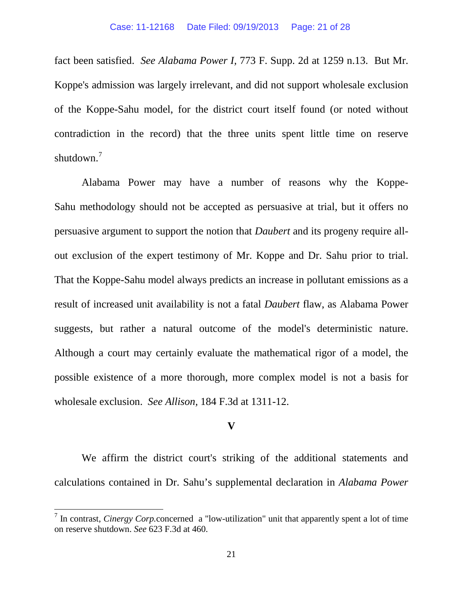fact been satisfied. *See Alabama Power I,* 773 F. Supp. 2d at 1259 n.13. But Mr. Koppe's admission was largely irrelevant, and did not support wholesale exclusion of the Koppe-Sahu model, for the district court itself found (or noted without contradiction in the record) that the three units spent little time on reserve shutdown.<sup>[7](#page-20-0)</sup>

Alabama Power may have a number of reasons why the Koppe-Sahu methodology should not be accepted as persuasive at trial, but it offers no persuasive argument to support the notion that *Daubert* and its progeny require allout exclusion of the expert testimony of Mr. Koppe and Dr. Sahu prior to trial. That the Koppe-Sahu model always predicts an increase in pollutant emissions as a result of increased unit availability is not a fatal *Daubert* flaw, as Alabama Power suggests, but rather a natural outcome of the model's deterministic nature. Although a court may certainly evaluate the mathematical rigor of a model, the possible existence of a more thorough, more complex model is not a basis for wholesale exclusion. *See Allison,* 184 F.3d at 1311-12.

### **V**

We affirm the district court's striking of the additional statements and calculations contained in Dr. Sahu's supplemental declaration in *Alabama Power* 

<span id="page-20-0"></span><sup>7</sup> In contrast, *Cinergy Corp.*concerned a "low-utilization" unit that apparently spent a lot of time on reserve shutdown. *See* 623 F.3d at 460.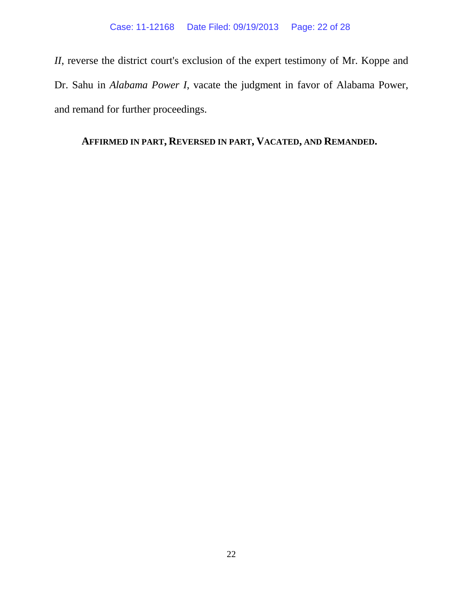*II*, reverse the district court's exclusion of the expert testimony of Mr. Koppe and Dr. Sahu in *Alabama Power I*, vacate the judgment in favor of Alabama Power, and remand for further proceedings.

# **AFFIRMED IN PART, REVERSED IN PART, VACATED, AND REMANDED.**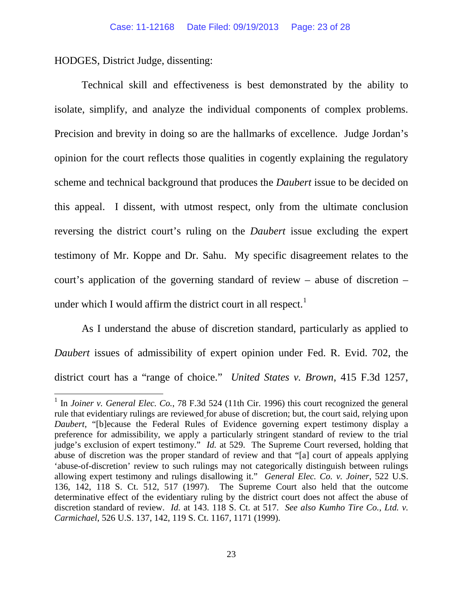HODGES, District Judge, dissenting:

Technical skill and effectiveness is best demonstrated by the ability to isolate, simplify, and analyze the individual components of complex problems. Precision and brevity in doing so are the hallmarks of excellence. Judge Jordan's opinion for the court reflects those qualities in cogently explaining the regulatory scheme and technical background that produces the *Daubert* issue to be decided on this appeal. I dissent, with utmost respect, only from the ultimate conclusion reversing the district court's ruling on the *Daubert* issue excluding the expert testimony of Mr. Koppe and Dr. Sahu. My specific disagreement relates to the court's application of the governing standard of review – abuse of discretion – under which I would affirm the district court in all respect.<sup>[1](#page-22-0)</sup>

As I understand the abuse of discretion standard, particularly as applied to *Daubert* issues of admissibility of expert opinion under Fed. R. Evid. 702, the district court has a "range of choice." *United States v. Brown*, 415 F.3d 1257,

<span id="page-22-0"></span><sup>&</sup>lt;sup>1</sup> In *Joiner v. General Elec. Co.*, 78 F.3d 524 (11th Cir. 1996) this court recognized the general rule that evidentiary rulings are reviewed for abuse of discretion; but, the court said, relying upon *Daubert*, "[b]ecause the Federal Rules of Evidence governing expert testimony display a preference for admissibility, we apply a particularly stringent standard of review to the trial judge's exclusion of expert testimony." *Id.* at 529. The Supreme Court reversed, holding that abuse of discretion was the proper standard of review and that "[a] court of appeals applying 'abuse-of-discretion' review to such rulings may not categorically distinguish between rulings allowing expert testimony and rulings disallowing it." *General Elec. Co. v. Joiner*, 522 U.S. 136, 142, 118 S. Ct. 512, 517 (1997). The Supreme Court also held that the outcome determinative effect of the evidentiary ruling by the district court does not affect the abuse of discretion standard of review. *Id.* at 143. 118 S. Ct. at 517. *See also Kumho Tire Co., Ltd. v. Carmichael*, 526 U.S. 137, 142, 119 S. Ct. 1167, 1171 (1999).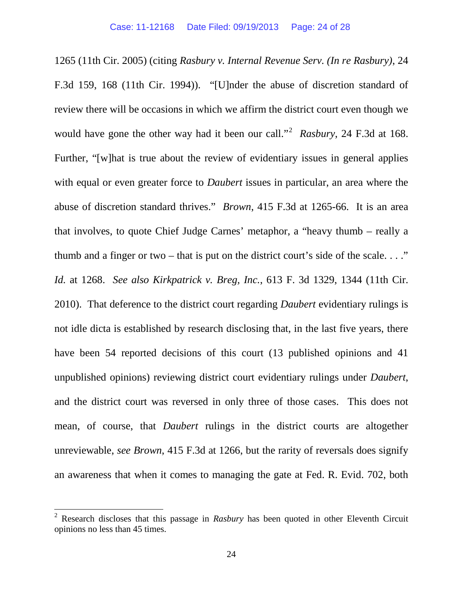1265 (11th Cir. 2005) (citing *Rasbury v. Internal Revenue Serv. (In re Rasbury)*, 24 F.3d 159, 168 (11th Cir. 1994)). "[U]nder the abuse of discretion standard of review there will be occasions in which we affirm the district court even though we would have gone the other way had it been our call."<sup>[2](#page-23-0)</sup> *Rasbury*, 24 F.3d at 168. Further, "[w]hat is true about the review of evidentiary issues in general applies with equal or even greater force to *Daubert* issues in particular, an area where the abuse of discretion standard thrives." *Brown*, 415 F.3d at 1265-66. It is an area that involves, to quote Chief Judge Carnes' metaphor, a "heavy thumb – really a thumb and a finger or two – that is put on the district court's side of the scale...." *Id.* at 1268. *See also Kirkpatrick v. Breg, Inc.*, 613 F. 3d 1329, 1344 (11th Cir. 2010). That deference to the district court regarding *Daubert* evidentiary rulings is not idle dicta is established by research disclosing that, in the last five years, there have been 54 reported decisions of this court (13 published opinions and 41 unpublished opinions) reviewing district court evidentiary rulings under *Daubert*, and the district court was reversed in only three of those cases. This does not mean, of course, that *Daubert* rulings in the district courts are altogether unreviewable, *see Brown*, 415 F.3d at 1266, but the rarity of reversals does signify an awareness that when it comes to managing the gate at Fed. R. Evid. 702, both

<span id="page-23-0"></span><sup>2</sup> Research discloses that this passage in *Rasbury* has been quoted in other Eleventh Circuit opinions no less than 45 times.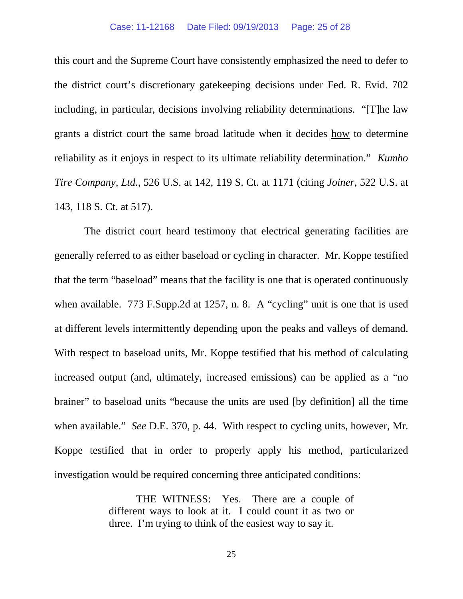### Case: 11-12168 Date Filed: 09/19/2013 Page: 25 of 28

this court and the Supreme Court have consistently emphasized the need to defer to the district court's discretionary gatekeeping decisions under Fed. R. Evid. 702 including, in particular, decisions involving reliability determinations. "[T]he law grants a district court the same broad latitude when it decides how to determine reliability as it enjoys in respect to its ultimate reliability determination." *Kumho Tire Company, Ltd.*, 526 U.S. at 142, 119 S. Ct. at 1171 (citing *Joiner*, 522 U.S. at 143, 118 S. Ct. at 517).

The district court heard testimony that electrical generating facilities are generally referred to as either baseload or cycling in character. Mr. Koppe testified that the term "baseload" means that the facility is one that is operated continuously when available. 773 F.Supp.2d at 1257, n. 8. A "cycling" unit is one that is used at different levels intermittently depending upon the peaks and valleys of demand. With respect to baseload units, Mr. Koppe testified that his method of calculating increased output (and, ultimately, increased emissions) can be applied as a "no brainer" to baseload units "because the units are used [by definition] all the time when available." *See* D.E. 370, p. 44. With respect to cycling units, however, Mr. Koppe testified that in order to properly apply his method, particularized investigation would be required concerning three anticipated conditions:

> THE WITNESS: Yes. There are a couple of different ways to look at it. I could count it as two or three. I'm trying to think of the easiest way to say it.

> > 25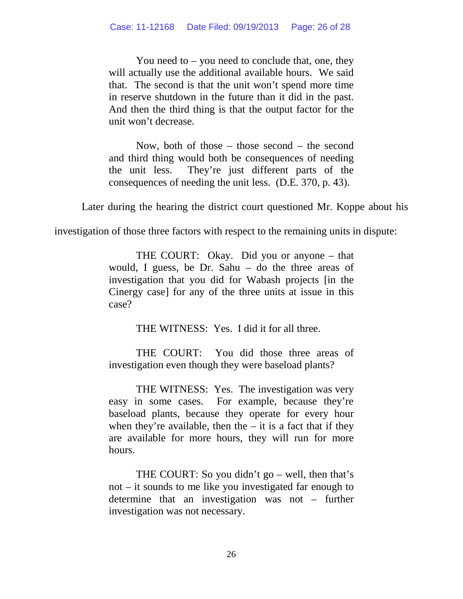You need to  $-$  you need to conclude that, one, they will actually use the additional available hours. We said that. The second is that the unit won't spend more time in reserve shutdown in the future than it did in the past. And then the third thing is that the output factor for the unit won't decrease.

Now, both of those – those second – the second and third thing would both be consequences of needing the unit less. They're just different parts of the consequences of needing the unit less. (D.E. 370, p. 43).

Later during the hearing the district court questioned Mr. Koppe about his

investigation of those three factors with respect to the remaining units in dispute:

THE COURT: Okay. Did you or anyone – that would, I guess, be Dr. Sahu – do the three areas of investigation that you did for Wabash projects [in the Cinergy case] for any of the three units at issue in this case?

THE WITNESS: Yes. I did it for all three.

THE COURT: You did those three areas of investigation even though they were baseload plants?

THE WITNESS: Yes. The investigation was very easy in some cases. For example, because they're baseload plants, because they operate for every hour when they're available, then the  $-$  it is a fact that if they are available for more hours, they will run for more hours.

THE COURT: So you didn't go – well, then that's not – it sounds to me like you investigated far enough to determine that an investigation was not – further investigation was not necessary.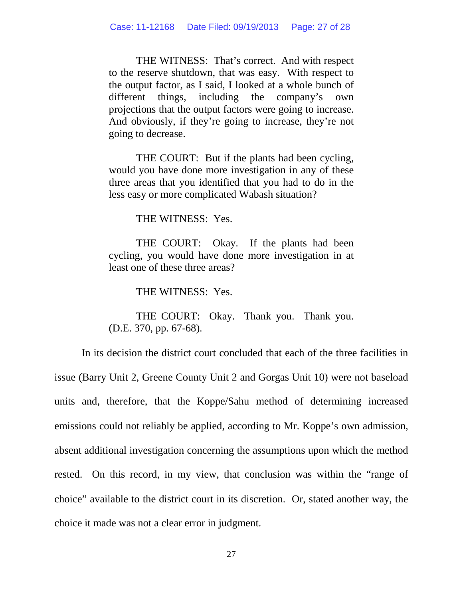THE WITNESS: That's correct. And with respect to the reserve shutdown, that was easy. With respect to the output factor, as I said, I looked at a whole bunch of different things, including the company's own projections that the output factors were going to increase. And obviously, if they're going to increase, they're not going to decrease.

THE COURT: But if the plants had been cycling, would you have done more investigation in any of these three areas that you identified that you had to do in the less easy or more complicated Wabash situation?

THE WITNESS: Yes.

THE COURT: Okay. If the plants had been cycling, you would have done more investigation in at least one of these three areas?

THE WITNESS: Yes.

THE COURT: Okay. Thank you. Thank you. (D.E. 370, pp. 67-68).

In its decision the district court concluded that each of the three facilities in issue (Barry Unit 2, Greene County Unit 2 and Gorgas Unit 10) were not baseload units and, therefore, that the Koppe/Sahu method of determining increased emissions could not reliably be applied, according to Mr. Koppe's own admission, absent additional investigation concerning the assumptions upon which the method rested. On this record, in my view, that conclusion was within the "range of choice" available to the district court in its discretion. Or, stated another way, the choice it made was not a clear error in judgment.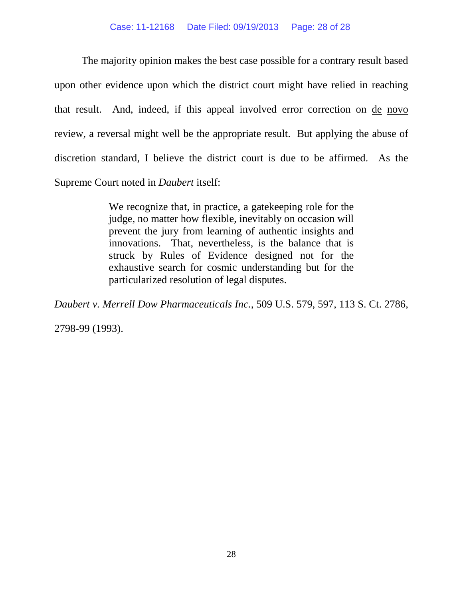The majority opinion makes the best case possible for a contrary result based upon other evidence upon which the district court might have relied in reaching that result. And, indeed, if this appeal involved error correction on de novo review, a reversal might well be the appropriate result. But applying the abuse of discretion standard, I believe the district court is due to be affirmed. As the Supreme Court noted in *Daubert* itself:

> We recognize that, in practice, a gatekeeping role for the judge, no matter how flexible, inevitably on occasion will prevent the jury from learning of authentic insights and innovations. That, nevertheless, is the balance that is struck by Rules of Evidence designed not for the exhaustive search for cosmic understanding but for the particularized resolution of legal disputes.

*Daubert v. Merrell Dow Pharmaceuticals Inc.*, 509 U.S. 579, 597, 113 S. Ct. 2786,

2798-99 (1993).